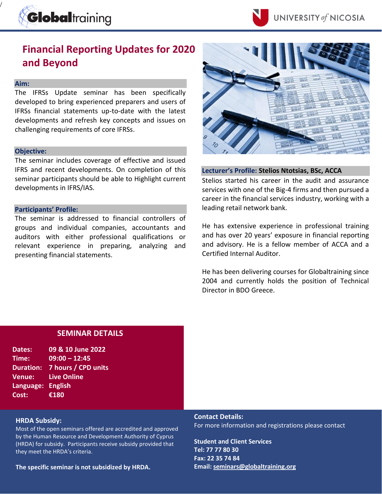



# **Financial Reporting Updates for 2020 and Beyond**

### **Aim:**

/

The IFRSs Update seminar has been specifically developed to bring experienced preparers and users of IFRSs financial statements up-to-date with the latest developments and refresh key concepts and issues on challenging requirements of core IFRSs.

#### **Objective:**

The seminar includes coverage of effective and issued IFRS and recent developments. On completion of this seminar participants should be able to Highlight current developments in IFRS/IAS.

#### **Participants' Profile:**

The seminar is addressed to financial controllers of groups and individual companies, accountants and auditors with either professional qualifications or relevant experience in preparing, analyzing and presenting financial statements.



## **Lecturer's Profile: Stelios Ntotsias, BSc, ACCA**

Stelios started his career in the audit and assurance services with one of the Big-4 firms and then pursued a career in the financial services industry, working with a leading retail network bank.

He has extensive experience in professional training and has over 20 years' exposure in financial reporting and advisory. He is a fellow member of ACCA and a Certified Internal Auditor.

He has been delivering courses for Globaltraining since 2004 and currently holds the position of Technical Director in BDO Greece.

## **SEMINAR DETAILS**

| Dates:            | 09 & 10 June 2022             |
|-------------------|-------------------------------|
| Time:             | $09:00 - 12:45$               |
|                   | Duration: 7 hours / CPD units |
| <b>Venue:</b>     | <b>Live Online</b>            |
| Language: English |                               |
| Cost:             | €180                          |

#### **HRDA Subsidy:**

Most of the open seminars offered are accredited and approved by the Human Resource and Development Authority of Cyprus (HRDA) for subsidy. Participants receive subsidy provided that they meet the HRDA's criteria.

**The specific seminar is not subsidized by HRDA.**

**Contact Details:** For more information and registrations please contact

**Student and Client Services Tel: 77 77 80 30 Fax: 22 35 74 84 Email: [seminars@globaltraining.org](mailto:panayiotou.m@globaltraining.org)**